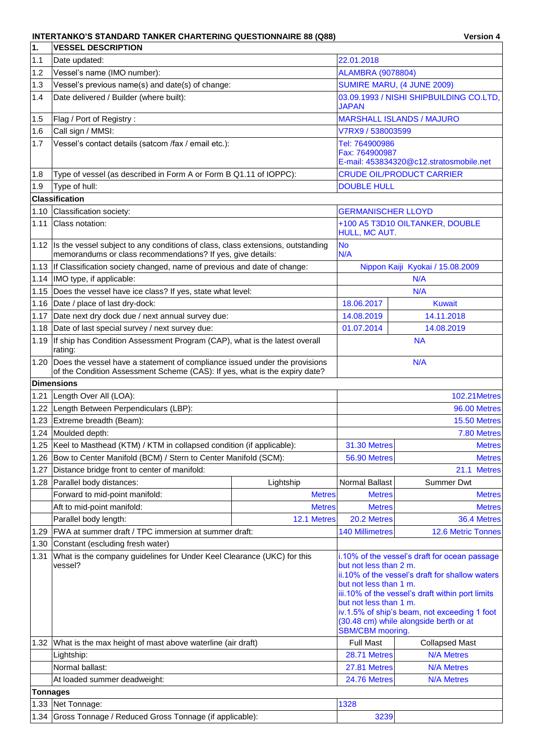## INTERTANKO'S STANDARD TANKER CHARTERING QUESTIONNAIRE 88 (Q88) Version 4

| 1.              | <b>VESSEL DESCRIPTION</b>                                                                                                                                |                                                                                                       |                                                                                                                                                                                                                                                |                                  |  |  |
|-----------------|----------------------------------------------------------------------------------------------------------------------------------------------------------|-------------------------------------------------------------------------------------------------------|------------------------------------------------------------------------------------------------------------------------------------------------------------------------------------------------------------------------------------------------|----------------------------------|--|--|
| 1.1             | Date updated:                                                                                                                                            |                                                                                                       | 22.01.2018                                                                                                                                                                                                                                     |                                  |  |  |
| 1.2             | Vessel's name (IMO number):                                                                                                                              | <b>ALAMBRA (9078804)</b>                                                                              |                                                                                                                                                                                                                                                |                                  |  |  |
| 1.3             | Vessel's previous name(s) and date(s) of change:                                                                                                         | SUMIRE MARU, (4 JUNE 2009)                                                                            |                                                                                                                                                                                                                                                |                                  |  |  |
| 1.4             | Date delivered / Builder (where built):                                                                                                                  | 03.09.1993 / NISHI SHIPBUILDING CO.LTD,<br>JAPAN                                                      |                                                                                                                                                                                                                                                |                                  |  |  |
| 1.5             | Flag / Port of Registry:                                                                                                                                 |                                                                                                       |                                                                                                                                                                                                                                                | <b>MARSHALL ISLANDS / MAJURO</b> |  |  |
| 1.6             | Call sign / MMSI:                                                                                                                                        |                                                                                                       | V7RX9 / 538003599                                                                                                                                                                                                                              |                                  |  |  |
| 1.7             | Vessel's contact details (satcom /fax / email etc.):                                                                                                     |                                                                                                       | Tel: 764900986                                                                                                                                                                                                                                 |                                  |  |  |
|                 |                                                                                                                                                          | Fax: 764900987<br>E-mail: 453834320@c12.stratosmobile.net                                             |                                                                                                                                                                                                                                                |                                  |  |  |
| 1.8             | Type of vessel (as described in Form A or Form B Q1.11 of IOPPC):                                                                                        |                                                                                                       |                                                                                                                                                                                                                                                | <b>CRUDE OIL/PRODUCT CARRIER</b> |  |  |
| 1.9             | Type of hull:                                                                                                                                            |                                                                                                       | <b>DOUBLE HULL</b>                                                                                                                                                                                                                             |                                  |  |  |
|                 | <b>Classification</b>                                                                                                                                    |                                                                                                       |                                                                                                                                                                                                                                                |                                  |  |  |
| 1.10            | Classification society:                                                                                                                                  |                                                                                                       | <b>GERMANISCHER LLOYD</b>                                                                                                                                                                                                                      |                                  |  |  |
| 1.11            | Class notation:                                                                                                                                          |                                                                                                       | HULL, MC AUT.                                                                                                                                                                                                                                  | +100 A5 T3D10 OILTANKER, DOUBLE  |  |  |
| 1.12            | Is the vessel subject to any conditions of class, class extensions, outstanding<br>memorandums or class recommendations? If yes, give details:           |                                                                                                       | <b>No</b><br>N/A                                                                                                                                                                                                                               |                                  |  |  |
|                 | 1.13 If Classification society changed, name of previous and date of change:                                                                             |                                                                                                       |                                                                                                                                                                                                                                                | Nippon Kaiji Kyokai / 15.08.2009 |  |  |
|                 | 1.14  IMO type, if applicable:                                                                                                                           |                                                                                                       |                                                                                                                                                                                                                                                | N/A                              |  |  |
|                 | 1.15 Does the vessel have ice class? If yes, state what level:                                                                                           |                                                                                                       |                                                                                                                                                                                                                                                | N/A                              |  |  |
| 1.16            | Date / place of last dry-dock:                                                                                                                           |                                                                                                       | 18.06.2017                                                                                                                                                                                                                                     | <b>Kuwait</b>                    |  |  |
| 1.17            | Date next dry dock due / next annual survey due:                                                                                                         | 14.08.2019                                                                                            | 14.11.2018                                                                                                                                                                                                                                     |                                  |  |  |
|                 | 1.18 Date of last special survey / next survey due:                                                                                                      |                                                                                                       | 01.07.2014                                                                                                                                                                                                                                     | 14.08.2019                       |  |  |
| 1.19            | If ship has Condition Assessment Program (CAP), what is the latest overall<br>rating:                                                                    |                                                                                                       | <b>NA</b>                                                                                                                                                                                                                                      |                                  |  |  |
| 1.20            | Does the vessel have a statement of compliance issued under the provisions<br>of the Condition Assessment Scheme (CAS): If yes, what is the expiry date? |                                                                                                       | N/A                                                                                                                                                                                                                                            |                                  |  |  |
|                 | <b>Dimensions</b>                                                                                                                                        |                                                                                                       |                                                                                                                                                                                                                                                |                                  |  |  |
| 1.21            | Length Over All (LOA):                                                                                                                                   |                                                                                                       |                                                                                                                                                                                                                                                | <b>102.21Metres</b>              |  |  |
| 1.22            | Length Between Perpendiculars (LBP):                                                                                                                     |                                                                                                       | 96.00 Metres                                                                                                                                                                                                                                   |                                  |  |  |
| 1.23            | Extreme breadth (Beam):                                                                                                                                  |                                                                                                       | 15.50 Metres                                                                                                                                                                                                                                   |                                  |  |  |
|                 | 1.24 Moulded depth:                                                                                                                                      |                                                                                                       |                                                                                                                                                                                                                                                | 7.80 Metres                      |  |  |
|                 | 1.25   Keel to Masthead (KTM) / KTM in collapsed condition (if applicable):                                                                              |                                                                                                       | 31.30 Metres                                                                                                                                                                                                                                   | <b>Metres</b>                    |  |  |
|                 | 1.26   Bow to Center Manifold (BCM) / Stern to Center Manifold (SCM):                                                                                    |                                                                                                       | 56.90 Metres                                                                                                                                                                                                                                   | <b>Metres</b>                    |  |  |
| 1.27            | Distance bridge front to center of manifold:                                                                                                             |                                                                                                       |                                                                                                                                                                                                                                                | 21.1 Metres                      |  |  |
| 1.28            | Parallel body distances:                                                                                                                                 | Lightship                                                                                             | <b>Normal Ballast</b>                                                                                                                                                                                                                          | <b>Summer Dwt</b>                |  |  |
|                 | Forward to mid-point manifold:                                                                                                                           | <b>Metres</b>                                                                                         | <b>Metres</b>                                                                                                                                                                                                                                  | <b>Metres</b>                    |  |  |
|                 | Aft to mid-point manifold:                                                                                                                               | <b>Metres</b>                                                                                         | <b>Metres</b>                                                                                                                                                                                                                                  | <b>Metres</b>                    |  |  |
|                 | Parallel body length:                                                                                                                                    | 12.1 Metres                                                                                           | 20.2 Metres                                                                                                                                                                                                                                    | 36.4 Metres                      |  |  |
| 1.29            | FWA at summer draft / TPC immersion at summer draft:                                                                                                     |                                                                                                       | <b>140 Millimetres</b>                                                                                                                                                                                                                         | 12.6 Metric Tonnes               |  |  |
| 1.30            | Constant (escluding fresh water)                                                                                                                         |                                                                                                       |                                                                                                                                                                                                                                                |                                  |  |  |
| 1.31            | What is the company guidelines for Under Keel Clearance (UKC) for this<br>vessel?                                                                        | but not less than 2 m.<br>but not less than 1 m.<br>but not less than 1 m.<br><b>SBM/CBM</b> mooring. | i.10% of the vessel's draft for ocean passage<br>ii.10% of the vessel's draft for shallow waters<br>iii.10% of the vessel's draft within port limits<br>iv.1.5% of ship's beam, not exceeding 1 foot<br>(30.48 cm) while alongside berth or at |                                  |  |  |
| 1.32            | What is the max height of mast above waterline (air draft)                                                                                               |                                                                                                       | <b>Full Mast</b>                                                                                                                                                                                                                               | <b>Collapsed Mast</b>            |  |  |
|                 | Lightship:                                                                                                                                               |                                                                                                       | 28.71 Metres                                                                                                                                                                                                                                   | <b>N/A Metres</b>                |  |  |
|                 | Normal ballast:                                                                                                                                          |                                                                                                       | 27.81 Metres                                                                                                                                                                                                                                   | <b>N/A Metres</b>                |  |  |
|                 | At loaded summer deadweight:                                                                                                                             |                                                                                                       | 24.76 Metres                                                                                                                                                                                                                                   | <b>N/A Metres</b>                |  |  |
| <b>Tonnages</b> |                                                                                                                                                          |                                                                                                       |                                                                                                                                                                                                                                                |                                  |  |  |
|                 | 1.33 Net Tonnage:                                                                                                                                        |                                                                                                       | 1328                                                                                                                                                                                                                                           |                                  |  |  |
|                 | 1.34 Gross Tonnage / Reduced Gross Tonnage (if applicable):                                                                                              |                                                                                                       | 3239                                                                                                                                                                                                                                           |                                  |  |  |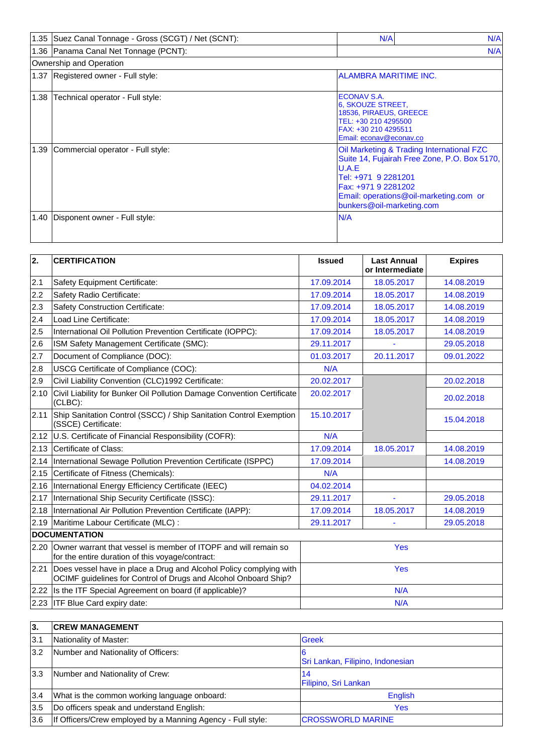|      | 1.35 Suez Canal Tonnage - Gross (SCGT) / Net (SCNT): | N/A                                                                                                                                                                                                                     | N/A |
|------|------------------------------------------------------|-------------------------------------------------------------------------------------------------------------------------------------------------------------------------------------------------------------------------|-----|
|      | 1.36 Panama Canal Net Tonnage (PCNT):                |                                                                                                                                                                                                                         | N/A |
|      | Ownership and Operation                              |                                                                                                                                                                                                                         |     |
|      | 1.37 Registered owner - Full style:                  | <b>ALAMBRA MARITIME INC.</b>                                                                                                                                                                                            |     |
| 1.38 | Technical operator - Full style:                     | ECONAV S.A.<br>6, SKOUZE STREET,<br>18536, PIRAEUS, GREECE<br>TEL: +30 210 4295500<br>FAX: +30 210 4295511<br>Email: econav@econav.co                                                                                   |     |
| 1.39 | Commercial operator - Full style:                    | Oil Marketing & Trading International FZC<br>Suite 14, Fujairah Free Zone, P.O. Box 5170,<br>U.A.E<br>Tel: +971 9 2281201<br>Fax: +971 9 2281202<br>Email: operations@oil-marketing.com or<br>bunkers@oil-marketing.com |     |
| 1.40 | Disponent owner - Full style:                        | N/A                                                                                                                                                                                                                     |     |

| $\overline{2}$ . | <b>CERTIFICATION</b>                                                                                                                  | <b>Issued</b> | <b>Last Annual</b><br>or Intermediate | <b>Expires</b> |  |
|------------------|---------------------------------------------------------------------------------------------------------------------------------------|---------------|---------------------------------------|----------------|--|
| 2.1              | Safety Equipment Certificate:                                                                                                         | 17.09.2014    | 18.05.2017                            | 14.08.2019     |  |
| 2.2              | Safety Radio Certificate:                                                                                                             | 17.09.2014    | 18.05.2017                            | 14.08.2019     |  |
| 2.3              | <b>Safety Construction Certificate:</b>                                                                                               | 17.09.2014    | 18.05.2017                            | 14.08.2019     |  |
| 2.4              | Load Line Certificate:                                                                                                                | 17.09.2014    | 18.05.2017                            | 14.08.2019     |  |
| 2.5              | International Oil Pollution Prevention Certificate (IOPPC):                                                                           | 17.09.2014    | 18.05.2017                            | 14.08.2019     |  |
| 2.6              | ISM Safety Management Certificate (SMC):                                                                                              | 29.11.2017    |                                       | 29.05.2018     |  |
| 2.7              | Document of Compliance (DOC):                                                                                                         | 01.03.2017    | 20.11.2017                            | 09.01.2022     |  |
| 2.8              | USCG Certificate of Compliance (COC):                                                                                                 | N/A           |                                       |                |  |
| 2.9              | Civil Liability Convention (CLC)1992 Certificate:                                                                                     | 20.02.2017    |                                       | 20.02.2018     |  |
| 2.10             | Civil Liability for Bunker Oil Pollution Damage Convention Certificate<br>(CLBC):                                                     | 20.02.2017    |                                       | 20.02.2018     |  |
| 2.11             | Ship Sanitation Control (SSCC) / Ship Sanitation Control Exemption<br>(SSCE) Certificate:                                             | 15.10.2017    |                                       | 15.04.2018     |  |
|                  | 2.12 U.S. Certificate of Financial Responsibility (COFR):                                                                             | N/A           |                                       |                |  |
| 2.13             | Certificate of Class:                                                                                                                 | 17.09.2014    | 18.05.2017                            | 14.08.2019     |  |
| 2.14             | International Sewage Pollution Prevention Certificate (ISPPC)                                                                         | 17.09.2014    |                                       | 14.08.2019     |  |
| 2.15             | Certificate of Fitness (Chemicals):                                                                                                   | N/A           |                                       |                |  |
| 2.16             | International Energy Efficiency Certificate (IEEC)                                                                                    | 04.02.2014    |                                       |                |  |
| 2.17             | International Ship Security Certificate (ISSC):                                                                                       | 29.11.2017    | L,                                    | 29.05.2018     |  |
|                  | 2.18  International Air Pollution Prevention Certificate (IAPP):                                                                      | 17.09.2014    | 18.05.2017                            | 14.08.2019     |  |
| 2.19             | Maritime Labour Certificate (MLC) :                                                                                                   | 29.11.2017    |                                       | 29.05.2018     |  |
|                  | <b>DOCUMENTATION</b>                                                                                                                  |               |                                       |                |  |
| 2.20             | Owner warrant that vessel is member of ITOPF and will remain so<br>for the entire duration of this voyage/contract:                   | Yes           |                                       |                |  |
| 2.21             | Does vessel have in place a Drug and Alcohol Policy complying with<br>OCIMF guidelines for Control of Drugs and Alcohol Onboard Ship? | <b>Yes</b>    |                                       |                |  |
| 2.22             | Is the ITF Special Agreement on board (if applicable)?                                                                                |               | N/A                                   |                |  |
|                  | 2.23 ITF Blue Card expiry date:                                                                                                       | N/A           |                                       |                |  |

| 3.  | <b>CREW MANAGEMENT</b>                                      |                                  |
|-----|-------------------------------------------------------------|----------------------------------|
| 3.1 | Nationality of Master:                                      | <b>Greek</b>                     |
| 3.2 | Number and Nationality of Officers:                         | Sri Lankan, Filipino, Indonesian |
| 3.3 | Number and Nationality of Crew:                             | 14<br>Filipino, Sri Lankan       |
| 3.4 | What is the common working language onboard:                | English                          |
| 3.5 | Do officers speak and understand English:                   | Yes                              |
| 3.6 | If Officers/Crew employed by a Manning Agency - Full style: | <b>CROSSWORLD MARINE</b>         |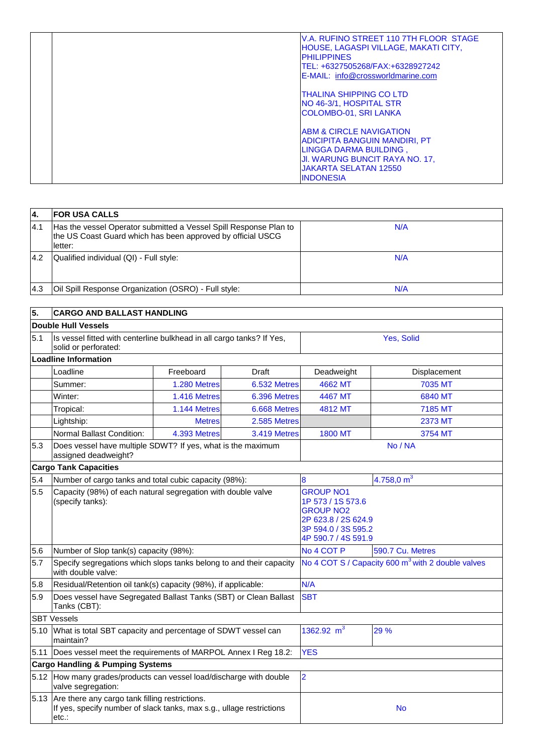|  | IV.A. RUFINO STREET 110 7TH FLOOR STAGE<br><b>HOUSE, LAGASPI VILLAGE, MAKATI CITY,</b><br><b>PHILIPPINES</b><br>ITEL: +6327505268/FAX:+6328927242<br>E-MAIL: info@crossworldmarine.com            |
|--|---------------------------------------------------------------------------------------------------------------------------------------------------------------------------------------------------|
|  | <b>ITHALINA SHIPPING CO LTD</b><br>NO 46-3/1, HOSPITAL STR<br><b>COLOMBO-01, SRI LANKA</b>                                                                                                        |
|  | <b>ABM &amp; CIRCLE NAVIGATION</b><br><b>ADICIPITA BANGUIN MANDIRI. PT</b><br>LINGGA DARMA BUILDING.<br><b>JI. WARUNG BUNCIT RAYA NO. 17,</b><br><b>JAKARTA SELATAN 12550</b><br><b>INDONESIA</b> |

| 14.  | <b>IFOR USA CALLS</b>                                                                                                                        |     |
|------|----------------------------------------------------------------------------------------------------------------------------------------------|-----|
| 14.1 | Has the vessel Operator submitted a Vessel Spill Response Plan to<br>the US Coast Guard which has been approved by official USCG<br>lletter: | N/A |
| 14.2 | Qualified individual (QI) - Full style:                                                                                                      | N/A |
| 14.3 | Oil Spill Response Organization (OSRO) - Full style:                                                                                         | N/A |

| 5.   | <b>CARGO AND BALLAST HANDLING</b>                                                                                                    |               |              |                                                                                                                                |                  |  |
|------|--------------------------------------------------------------------------------------------------------------------------------------|---------------|--------------|--------------------------------------------------------------------------------------------------------------------------------|------------------|--|
|      | Double Hull Vessels                                                                                                                  |               |              |                                                                                                                                |                  |  |
| 5.1  | Is vessel fitted with centerline bulkhead in all cargo tanks? If Yes,<br>solid or perforated:                                        |               |              | Yes, Solid                                                                                                                     |                  |  |
|      | <b>Loadline Information</b>                                                                                                          |               |              |                                                                                                                                |                  |  |
|      | Loadline                                                                                                                             | Freeboard     | Draft        | Deadweight                                                                                                                     | Displacement     |  |
|      | Summer:                                                                                                                              | 1.280 Metres  | 6.532 Metres | 4662 MT                                                                                                                        | 7035 MT          |  |
|      | Winter:                                                                                                                              | 1.416 Metres  | 6.396 Metres | 4467 MT                                                                                                                        | 6840 MT          |  |
|      | Tropical:                                                                                                                            | 1.144 Metres  | 6.668 Metres | 4812 MT                                                                                                                        | 7185 MT          |  |
|      | Lightship:                                                                                                                           | <b>Metres</b> | 2.585 Metres |                                                                                                                                | <b>2373 MT</b>   |  |
|      | Normal Ballast Condition:                                                                                                            | 4.393 Metres  | 3.419 Metres | <b>1800 MT</b>                                                                                                                 | 3754 MT          |  |
| 5.3  | Does vessel have multiple SDWT? If yes, what is the maximum<br>assigned deadweight?                                                  |               |              | No / NA                                                                                                                        |                  |  |
|      | <b>Cargo Tank Capacities</b>                                                                                                         |               |              |                                                                                                                                |                  |  |
| 5.4  | Number of cargo tanks and total cubic capacity (98%):                                                                                |               |              | 8                                                                                                                              | 4.758,0 $m3$     |  |
| 5.5  | Capacity (98%) of each natural segregation with double valve<br>(specify tanks):                                                     |               |              | <b>GROUP NO1</b><br>1P 573 / 1S 573.6<br><b>GROUP NO2</b><br>2P 623.8 / 2S 624.9<br>3P 594.0 / 3S 595.2<br>4P 590.7 / 4S 591.9 |                  |  |
| 5.6  | Number of Slop tank(s) capacity (98%):                                                                                               |               |              | No 4 COT P                                                                                                                     | 590.7 Cu. Metres |  |
| 5.7  | Specify segregations which slops tanks belong to and their capacity<br>with double valve:                                            |               |              | No 4 COT S / Capacity 600 m <sup>3</sup> with 2 double valves                                                                  |                  |  |
| 5.8  | Residual/Retention oil tank(s) capacity (98%), if applicable:                                                                        |               |              | N/A                                                                                                                            |                  |  |
| 5.9  | Does vessel have Segregated Ballast Tanks (SBT) or Clean Ballast<br>Tanks (CBT):                                                     |               |              | <b>SBT</b>                                                                                                                     |                  |  |
|      | <b>SBT Vessels</b>                                                                                                                   |               |              |                                                                                                                                |                  |  |
| 5.10 | What is total SBT capacity and percentage of SDWT vessel can<br>maintain?                                                            |               |              | 1362.92 $m^3$                                                                                                                  | 29 %             |  |
| 5.11 | Does vessel meet the requirements of MARPOL Annex I Reg 18.2:                                                                        |               |              | <b>YES</b>                                                                                                                     |                  |  |
|      | <b>Cargo Handling &amp; Pumping Systems</b>                                                                                          |               |              |                                                                                                                                |                  |  |
|      | 5.12 How many grades/products can vessel load/discharge with double<br>valve segregation:                                            |               |              | $\overline{2}$                                                                                                                 |                  |  |
|      | 5.13 Are there any cargo tank filling restrictions.<br>If yes, specify number of slack tanks, max s.g., ullage restrictions<br>etc.: |               |              |                                                                                                                                | <b>No</b>        |  |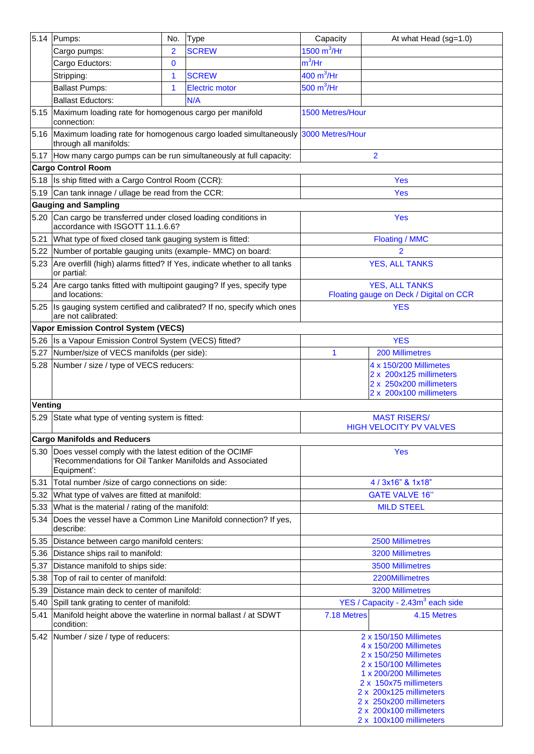| 5.14    | Pumps:                                                                                                                                  | No. | <b>Type</b>                                                                           | Capacity                                                                                                | At what Head (sg=1.0)                                                                                                                                                                                                                                                |  |
|---------|-----------------------------------------------------------------------------------------------------------------------------------------|-----|---------------------------------------------------------------------------------------|---------------------------------------------------------------------------------------------------------|----------------------------------------------------------------------------------------------------------------------------------------------------------------------------------------------------------------------------------------------------------------------|--|
|         | Cargo pumps:                                                                                                                            | 2   | <b>SCREW</b>                                                                          | 1500 $m^3$ /Hr                                                                                          |                                                                                                                                                                                                                                                                      |  |
|         | Cargo Eductors:                                                                                                                         | 0   |                                                                                       | $m^3$ /Hr                                                                                               |                                                                                                                                                                                                                                                                      |  |
|         | Stripping:                                                                                                                              | 1   | <b>SCREW</b>                                                                          | $400 \text{ m}^3/\text{Hr}$                                                                             |                                                                                                                                                                                                                                                                      |  |
|         | <b>Ballast Pumps:</b>                                                                                                                   | 1   | <b>Electric motor</b>                                                                 | 500 $m^3$ /Hr                                                                                           |                                                                                                                                                                                                                                                                      |  |
|         | <b>Ballast Eductors:</b>                                                                                                                |     | N/A                                                                                   |                                                                                                         |                                                                                                                                                                                                                                                                      |  |
|         | 5.15 Maximum loading rate for homogenous cargo per manifold<br>connection:                                                              |     |                                                                                       | 1500 Metres/Hour                                                                                        |                                                                                                                                                                                                                                                                      |  |
|         | through all manifolds:                                                                                                                  |     | 5.16 Maximum loading rate for homogenous cargo loaded simultaneously 3000 Metres/Hour |                                                                                                         |                                                                                                                                                                                                                                                                      |  |
|         | 5.17 How many cargo pumps can be run simultaneously at full capacity:                                                                   |     |                                                                                       |                                                                                                         | $\overline{2}$                                                                                                                                                                                                                                                       |  |
|         | <b>Cargo Control Room</b>                                                                                                               |     |                                                                                       |                                                                                                         |                                                                                                                                                                                                                                                                      |  |
|         | 5.18 Is ship fitted with a Cargo Control Room (CCR):                                                                                    |     |                                                                                       |                                                                                                         | <b>Yes</b>                                                                                                                                                                                                                                                           |  |
|         | 5.19 Can tank innage / ullage be read from the CCR:                                                                                     |     |                                                                                       |                                                                                                         | <b>Yes</b>                                                                                                                                                                                                                                                           |  |
|         | <b>Gauging and Sampling</b>                                                                                                             |     |                                                                                       |                                                                                                         |                                                                                                                                                                                                                                                                      |  |
| 5.20    | Can cargo be transferred under closed loading conditions in<br>accordance with ISGOTT 11.1.6.6?                                         |     |                                                                                       |                                                                                                         | <b>Yes</b>                                                                                                                                                                                                                                                           |  |
| 5.21    | What type of fixed closed tank gauging system is fitted:                                                                                |     |                                                                                       |                                                                                                         | <b>Floating / MMC</b>                                                                                                                                                                                                                                                |  |
|         | 5.22 Number of portable gauging units (example- MMC) on board:                                                                          |     |                                                                                       |                                                                                                         | $\overline{2}$                                                                                                                                                                                                                                                       |  |
| 5.23    | Are overfill (high) alarms fitted? If Yes, indicate whether to all tanks<br>or partial:                                                 |     |                                                                                       |                                                                                                         | <b>YES, ALL TANKS</b>                                                                                                                                                                                                                                                |  |
|         | 5.24 Are cargo tanks fitted with multipoint gauging? If yes, specify type<br>and locations:                                             |     |                                                                                       |                                                                                                         | <b>YES, ALL TANKS</b><br>Floating gauge on Deck / Digital on CCR                                                                                                                                                                                                     |  |
| 5.25    | are not calibrated:                                                                                                                     |     | Is gauging system certified and calibrated? If no, specify which ones                 |                                                                                                         | <b>YES</b>                                                                                                                                                                                                                                                           |  |
|         | Vapor Emission Control System (VECS)                                                                                                    |     |                                                                                       |                                                                                                         |                                                                                                                                                                                                                                                                      |  |
| 5.26    | Is a Vapour Emission Control System (VECS) fitted?                                                                                      |     |                                                                                       |                                                                                                         | <b>YES</b>                                                                                                                                                                                                                                                           |  |
| 5.27    | Number/size of VECS manifolds (per side):                                                                                               |     |                                                                                       | 1                                                                                                       | <b>200 Millimetres</b>                                                                                                                                                                                                                                               |  |
|         | 5.28 Number / size / type of VECS reducers:                                                                                             |     |                                                                                       | 4 x 150/200 Millimetes<br>2 x 200x125 millimeters<br>2 x 250x200 millimeters<br>2 x 200x100 millimeters |                                                                                                                                                                                                                                                                      |  |
| Venting |                                                                                                                                         |     |                                                                                       |                                                                                                         |                                                                                                                                                                                                                                                                      |  |
| 5.29    | State what type of venting system is fitted:                                                                                            |     |                                                                                       |                                                                                                         | <b>MAST RISERS/</b><br><b>HIGH VELOCITY PV VALVES</b>                                                                                                                                                                                                                |  |
|         | <b>Cargo Manifolds and Reducers</b>                                                                                                     |     |                                                                                       |                                                                                                         |                                                                                                                                                                                                                                                                      |  |
|         | 5.30 Does vessel comply with the latest edition of the OCIMF<br>'Recommendations for Oil Tanker Manifolds and Associated<br>Equipment': |     |                                                                                       |                                                                                                         | <b>Yes</b>                                                                                                                                                                                                                                                           |  |
| 5.31    | Total number / size of cargo connections on side:                                                                                       |     |                                                                                       |                                                                                                         | 4 / 3x16" & 1x18"                                                                                                                                                                                                                                                    |  |
| 5.32    | What type of valves are fitted at manifold:                                                                                             |     |                                                                                       | <b>GATE VALVE 16"</b>                                                                                   |                                                                                                                                                                                                                                                                      |  |
| 5.33    | What is the material / rating of the manifold:                                                                                          |     |                                                                                       | <b>MILD STEEL</b>                                                                                       |                                                                                                                                                                                                                                                                      |  |
| 5.34    | Does the vessel have a Common Line Manifold connection? If yes,<br>describe:                                                            |     |                                                                                       |                                                                                                         |                                                                                                                                                                                                                                                                      |  |
| 5.35    | Distance between cargo manifold centers:                                                                                                |     |                                                                                       |                                                                                                         | 2500 Millimetres                                                                                                                                                                                                                                                     |  |
| 5.36    | Distance ships rail to manifold:                                                                                                        |     |                                                                                       |                                                                                                         | <b>3200 Millimetres</b>                                                                                                                                                                                                                                              |  |
| 5.37    | Distance manifold to ships side:                                                                                                        |     |                                                                                       |                                                                                                         | 3500 Millimetres                                                                                                                                                                                                                                                     |  |
| 5.38    | Top of rail to center of manifold:                                                                                                      |     |                                                                                       |                                                                                                         | 2200Millimetres                                                                                                                                                                                                                                                      |  |
| 5.39    | Distance main deck to center of manifold:                                                                                               |     |                                                                                       |                                                                                                         | <b>3200 Millimetres</b>                                                                                                                                                                                                                                              |  |
| 5.40    | Spill tank grating to center of manifold:                                                                                               |     |                                                                                       |                                                                                                         | YES / Capacity - 2.43m <sup>3</sup> each side                                                                                                                                                                                                                        |  |
| 5.41    | Manifold height above the waterline in normal ballast / at SDWT<br>condition:                                                           |     |                                                                                       | 7.18 Metres                                                                                             | 4.15 Metres                                                                                                                                                                                                                                                          |  |
|         | 5.42 Number / size / type of reducers:                                                                                                  |     |                                                                                       |                                                                                                         | 2 x 150/150 Millimetes<br>4 x 150/200 Millimetes<br>2 x 150/250 Millimetes<br>2 x 150/100 Millimetes<br>1 x 200/200 Millimetes<br>2 x 150x75 millimeters<br>2 x 200x125 millimeters<br>2 x 250x200 millimeters<br>2 x 200x100 millimeters<br>2 x 100x100 millimeters |  |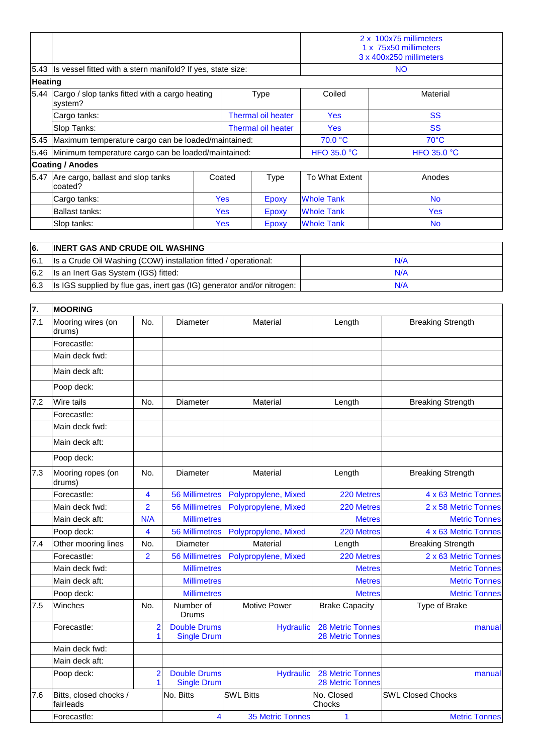|                                                                |                                                                  |            |                    | 2 x 100x75 millimeters<br>1 x 75x50 millimeters<br>3 x 400x250 millimeters |                    |                    |
|----------------------------------------------------------------|------------------------------------------------------------------|------------|--------------------|----------------------------------------------------------------------------|--------------------|--------------------|
|                                                                | 5.43 Is vessel fitted with a stern manifold? If yes, state size: |            |                    |                                                                            |                    | <b>NO</b>          |
| <b>Heating</b>                                                 |                                                                  |            |                    |                                                                            |                    |                    |
| 5.44 Cargo / slop tanks fitted with a cargo heating<br>system? |                                                                  |            | <b>Type</b>        |                                                                            | Coiled             | Material           |
|                                                                | Cargo tanks:                                                     |            | Thermal oil heater |                                                                            | <b>Yes</b>         | <b>SS</b>          |
|                                                                | Slop Tanks:                                                      |            | Thermal oil heater |                                                                            | Yes                | <b>SS</b>          |
|                                                                | 5.45 Maximum temperature cargo can be loaded/maintained:         |            |                    |                                                                            | 70.0 °C            | $70^{\circ}$ C     |
|                                                                | 5.46 Minimum temperature cargo can be loaded/maintained:         |            |                    |                                                                            | <b>HFO 35.0 °C</b> | <b>HFO 35.0 °C</b> |
|                                                                | <b>Coating / Anodes</b>                                          |            |                    |                                                                            |                    |                    |
|                                                                | 5.47 Are cargo, ballast and slop tanks<br>coated?                |            | Coated             | <b>Type</b>                                                                | To What Extent     | Anodes             |
|                                                                | Cargo tanks:                                                     | <b>Yes</b> |                    | Epoxy                                                                      | <b>Whole Tank</b>  | <b>No</b>          |
|                                                                | Ballast tanks:                                                   |            | <b>Yes</b>         | Epoxy                                                                      | <b>Whole Tank</b>  | <b>Yes</b>         |
|                                                                | Slop tanks:                                                      |            | <b>Yes</b>         | Epoxy                                                                      | <b>Whole Tank</b>  | <b>No</b>          |

| <b>6</b> . | <b>INERT GAS AND CRUDE OIL WASHING</b>                                 |     |
|------------|------------------------------------------------------------------------|-----|
| 6.1        | Is a Crude Oil Washing (COW) installation fitted / operational:        | N/A |
| 6.2        | Is an Inert Gas System (IGS) fitted:                                   | N/A |
| 6.3        | Is IGS supplied by flue gas, inert gas (IG) generator and/or nitrogen: | N/A |

| 7.  | <b>MOORING</b>                      |                                |                                           |                         |                                                    |                          |
|-----|-------------------------------------|--------------------------------|-------------------------------------------|-------------------------|----------------------------------------------------|--------------------------|
| 7.1 | Mooring wires (on<br>drums)         | No.                            | Diameter                                  | Material                | Length                                             | <b>Breaking Strength</b> |
|     | Forecastle:                         |                                |                                           |                         |                                                    |                          |
|     | Main deck fwd:                      |                                |                                           |                         |                                                    |                          |
|     | Main deck aft:                      |                                |                                           |                         |                                                    |                          |
|     | Poop deck:                          |                                |                                           |                         |                                                    |                          |
| 7.2 | <b>Wire tails</b>                   | No.                            | Diameter                                  | Material                | Length                                             | <b>Breaking Strength</b> |
|     | Forecastle:                         |                                |                                           |                         |                                                    |                          |
|     | Main deck fwd:                      |                                |                                           |                         |                                                    |                          |
|     | Main deck aft:                      |                                |                                           |                         |                                                    |                          |
|     | Poop deck:                          |                                |                                           |                         |                                                    |                          |
| 7.3 | Mooring ropes (on<br>drums)         | No.                            | Diameter                                  | Material                | Length                                             | <b>Breaking Strength</b> |
|     | Forecastle:                         | 4                              | <b>56 Millimetres</b>                     | Polypropylene, Mixed    | 220 Metres                                         | 4 x 63 Metric Tonnes     |
|     | Main deck fwd:                      | $\overline{2}$                 | <b>56 Millimetres</b>                     | Polypropylene, Mixed    | 220 Metres                                         | 2 x 58 Metric Tonnes     |
|     | Main deck aft:                      | N/A                            | <b>Millimetres</b>                        |                         | <b>Metres</b>                                      | <b>Metric Tonnes</b>     |
|     | Poop deck:                          | $\overline{\mathbf{4}}$        | <b>56 Millimetres</b>                     | Polypropylene, Mixed    | 220 Metres                                         | 4 x 63 Metric Tonnes     |
| 7.4 | Other mooring lines                 | No.                            | Diameter                                  | Material                | Length                                             | <b>Breaking Strength</b> |
|     | Forecastle:                         | $\overline{2}$                 | <b>56 Millimetres</b>                     | Polypropylene, Mixed    | 220 Metres                                         | 2 x 63 Metric Tonnes     |
|     | Main deck fwd:                      |                                | <b>Millimetres</b>                        |                         | <b>Metres</b>                                      | <b>Metric Tonnes</b>     |
|     | Main deck aft:                      |                                | <b>Millimetres</b>                        |                         | <b>Metres</b>                                      | <b>Metric Tonnes</b>     |
|     | Poop deck:                          |                                | <b>Millimetres</b>                        |                         | <b>Metres</b>                                      | <b>Metric Tonnes</b>     |
| 7.5 | Winches                             | No.                            | Number of<br>Drums                        | <b>Motive Power</b>     | <b>Brake Capacity</b>                              | Type of Brake            |
|     | Forecastle:                         | $\overline{2}$<br>$\mathbf{1}$ | <b>Double Drums</b><br><b>Single Drum</b> | <b>Hydraulic</b>        | <b>28 Metric Tonnes</b><br><b>28 Metric Tonnes</b> | manual                   |
|     | Main deck fwd:                      |                                |                                           |                         |                                                    |                          |
|     | Main deck aft:                      |                                |                                           |                         |                                                    |                          |
|     | Poop deck:                          | $\overline{2}$<br>$\mathbf{1}$ | <b>Double Drums</b><br><b>Single Drum</b> | <b>Hydraulic</b>        | <b>28 Metric Tonnes</b><br><b>28 Metric Tonnes</b> | manual                   |
| 7.6 | Bitts, closed chocks /<br>fairleads |                                | No. Bitts                                 | <b>SWL Bitts</b>        | No. Closed<br>Chocks                               | <b>SWL Closed Chocks</b> |
|     | Forecastle:                         |                                | $\overline{\mathbf{4}}$                   | <b>35 Metric Tonnes</b> | 1                                                  | <b>Metric Tonnes</b>     |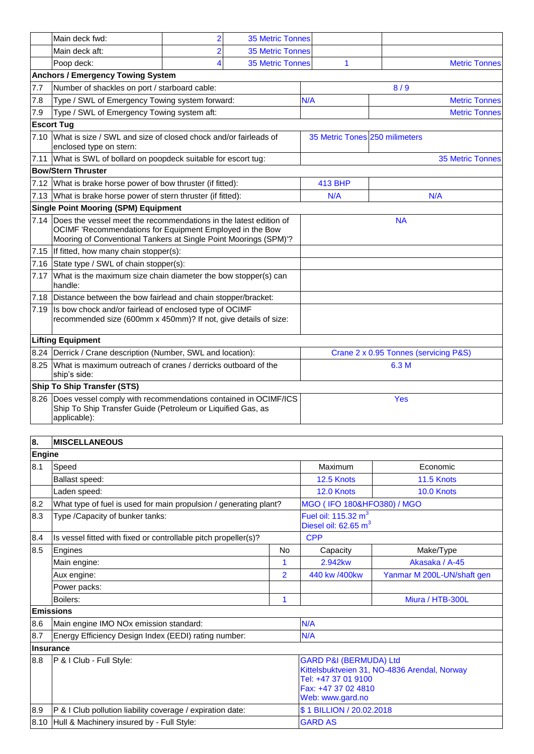|      | Main deck fwd:                                                                                                                                                                                         | $\overline{2}$ | <b>35 Metric Tonnes</b>               |                                |                         |
|------|--------------------------------------------------------------------------------------------------------------------------------------------------------------------------------------------------------|----------------|---------------------------------------|--------------------------------|-------------------------|
|      | Main deck aft:                                                                                                                                                                                         | $\overline{2}$ | <b>35 Metric Tonnes</b>               |                                |                         |
|      | Poop deck:                                                                                                                                                                                             |                | <b>35 Metric Tonnes</b>               | 1                              | <b>Metric Tonnes</b>    |
|      | <b>Anchors / Emergency Towing System</b>                                                                                                                                                               |                |                                       |                                |                         |
| 7.7  | Number of shackles on port / starboard cable:                                                                                                                                                          |                |                                       |                                | 8/9                     |
| 7.8  | Type / SWL of Emergency Towing system forward:                                                                                                                                                         |                |                                       | N/A                            | <b>Metric Tonnes</b>    |
| 7.9  | Type / SWL of Emergency Towing system aft:                                                                                                                                                             |                |                                       |                                | <b>Metric Tonnes</b>    |
|      | <b>Escort Tug</b>                                                                                                                                                                                      |                |                                       |                                |                         |
| 7.10 | What is size / SWL and size of closed chock and/or fairleads of<br>enclosed type on stern:                                                                                                             |                |                                       | 35 Metric Tones 250 milimeters |                         |
|      | 7.11 What is SWL of bollard on poopdeck suitable for escort tug:                                                                                                                                       |                |                                       |                                | <b>35 Metric Tonnes</b> |
|      | <b>Bow/Stern Thruster</b>                                                                                                                                                                              |                |                                       |                                |                         |
|      | 7.12 What is brake horse power of bow thruster (if fitted):                                                                                                                                            |                | <b>413 BHP</b>                        |                                |                         |
|      | 7.13 What is brake horse power of stern thruster (if fitted):                                                                                                                                          |                |                                       | N/A                            | N/A                     |
|      | <b>Single Point Mooring (SPM) Equipment</b>                                                                                                                                                            |                |                                       |                                |                         |
|      | 7.14 Does the vessel meet the recommendations in the latest edition of<br>OCIMF 'Recommendations for Equipment Employed in the Bow<br>Mooring of Conventional Tankers at Single Point Moorings (SPM)'? |                | <b>NA</b>                             |                                |                         |
|      | 7.15 If fitted, how many chain stopper(s):                                                                                                                                                             |                |                                       |                                |                         |
| 7.16 | State type / SWL of chain stopper(s):                                                                                                                                                                  |                |                                       |                                |                         |
| 7.17 | What is the maximum size chain diameter the bow stopper(s) can<br>handle:                                                                                                                              |                |                                       |                                |                         |
|      | 7.18 Distance between the bow fairlead and chain stopper/bracket:                                                                                                                                      |                |                                       |                                |                         |
| 7.19 | Is bow chock and/or fairlead of enclosed type of OCIMF<br>recommended size (600mm x 450mm)? If not, give details of size:                                                                              |                |                                       |                                |                         |
|      | <b>Lifting Equipment</b>                                                                                                                                                                               |                |                                       |                                |                         |
|      | 8.24   Derrick / Crane description (Number, SWL and location):                                                                                                                                         |                | Crane 2 x 0.95 Tonnes (servicing P&S) |                                |                         |
|      | 8.25 What is maximum outreach of cranes / derricks outboard of the<br>ship's side:                                                                                                                     |                |                                       | 6.3 M                          |                         |
|      | <b>Ship To Ship Transfer (STS)</b>                                                                                                                                                                     |                |                                       |                                |                         |
|      | 8.26 Does vessel comply with recommendations contained in OCIMF/ICS<br>Ship To Ship Transfer Guide (Petroleum or Liquified Gas, as<br>applicable):                                                     |                |                                       | Yes                            |                         |

| 8.     | <b>IMISCELLANEOUS</b>                                             |                |                                                                                                                                                     |                            |
|--------|-------------------------------------------------------------------|----------------|-----------------------------------------------------------------------------------------------------------------------------------------------------|----------------------------|
| Engine |                                                                   |                |                                                                                                                                                     |                            |
| 8.1    | Speed                                                             |                | Maximum                                                                                                                                             | Economic                   |
|        | Ballast speed:                                                    |                | 12.5 Knots                                                                                                                                          | 11.5 Knots                 |
|        | Laden speed:                                                      |                | 12.0 Knots                                                                                                                                          | 10.0 Knots                 |
| 8.2    | What type of fuel is used for main propulsion / generating plant? |                | MGO (IFO 180&HFO380) / MGO                                                                                                                          |                            |
| 8.3    | Type / Capacity of bunker tanks:                                  |                | Fuel oil: $115.32 \text{ m}^3$<br>Diesel oil: $62.65 \text{ m}^3$                                                                                   |                            |
| 8.4    | Is vessel fitted with fixed or controllable pitch propeller(s)?   |                | <b>CPP</b>                                                                                                                                          |                            |
| 8.5    | Engines                                                           | <b>No</b>      | Capacity                                                                                                                                            | Make/Type                  |
|        | Main engine:                                                      | 1              | 2.942kw                                                                                                                                             | Akasaka / A-45             |
|        | Aux engine:                                                       | $\overline{2}$ | 440 kw /400kw                                                                                                                                       | Yanmar M 200L-UN/shaft gen |
|        | Power packs:                                                      |                |                                                                                                                                                     |                            |
|        | Boilers:                                                          | 1              |                                                                                                                                                     | Miura / HTB-300L           |
|        | Emissions                                                         |                |                                                                                                                                                     |                            |
| 8.6    | Main engine IMO NOx emission standard:                            |                | N/A                                                                                                                                                 |                            |
| 8.7    | Energy Efficiency Design Index (EEDI) rating number:              |                | N/A                                                                                                                                                 |                            |
|        | <b>Insurance</b>                                                  |                |                                                                                                                                                     |                            |
| 8.8    | P & I Club - Full Style:                                          |                | <b>GARD P&amp;I (BERMUDA) Ltd</b><br>Kittelsbuktveien 31, NO-4836 Arendal, Norway<br>Tel: +47 37 01 9100<br>Fax: +47 37 02 4810<br>Web: www.gard.no |                            |
| 8.9    | P & I Club pollution liability coverage / expiration date:        |                | \$1 BILLION / 20.02.2018                                                                                                                            |                            |
|        | 8.10 Hull & Machinery insured by - Full Style:                    |                | <b>GARD AS</b>                                                                                                                                      |                            |